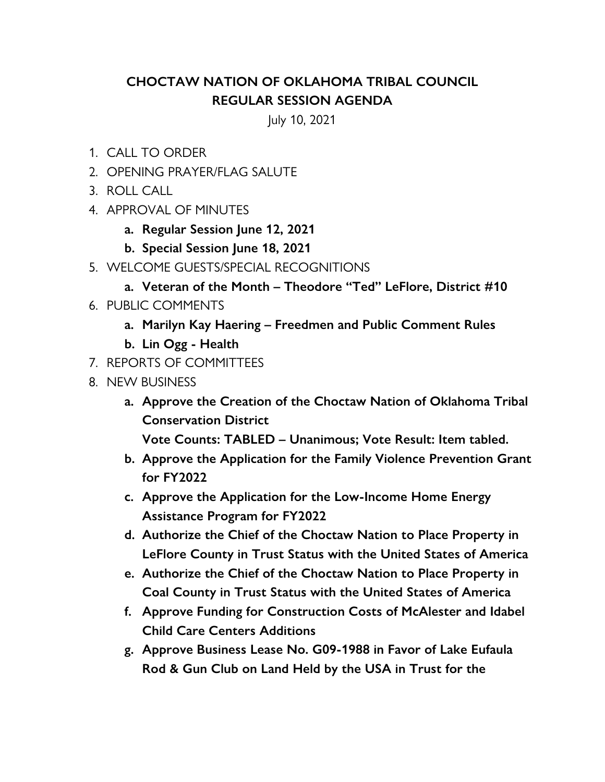## **CHOCTAW NATION OF OKLAHOMA TRIBAL COUNCIL REGULAR SESSION AGENDA**

July 10, 2021

- 1. CALL TO ORDER
- 2. OPENING PRAYER/FLAG SALUTE
- 3. ROLL CALL
- 4. APPROVAL OF MINUTES
	- **a. Regular Session June 12, 2021**
	- **b. Special Session June 18, 2021**
- 5. WELCOME GUESTS/SPECIAL RECOGNITIONS
	- **a. Veteran of the Month Theodore "Ted" LeFlore, District #10**
- 6. PUBLIC COMMENTS
	- **a. Marilyn Kay Haering Freedmen and Public Comment Rules**
	- **b. Lin Ogg Health**
- 7. REPORTS OF COMMITTEES
- 8. NEW BUSINESS
	- **a. Approve the Creation of the Choctaw Nation of Oklahoma Tribal Conservation District**

**Vote Counts: TABLED – Unanimous; Vote Result: Item tabled.**

- **b. Approve the Application for the Family Violence Prevention Grant for FY2022**
- **c. Approve the Application for the Low-Income Home Energy Assistance Program for FY2022**
- **d. Authorize the Chief of the Choctaw Nation to Place Property in LeFlore County in Trust Status with the United States of America**
- **e. Authorize the Chief of the Choctaw Nation to Place Property in Coal County in Trust Status with the United States of America**
- **f. Approve Funding for Construction Costs of McAlester and Idabel Child Care Centers Additions**
- **g. Approve Business Lease No. G09-1988 in Favor of Lake Eufaula Rod & Gun Club on Land Held by the USA in Trust for the**